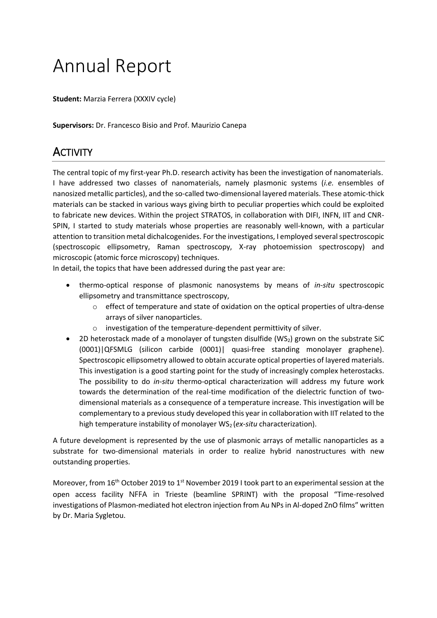# Annual Report

**Student:** Marzia Ferrera (XXXIV cycle)

**Supervisors:** Dr. Francesco Bisio and Prof. Maurizio Canepa

# **ACTIVITY**

The central topic of my first-year Ph.D. research activity has been the investigation of nanomaterials. I have addressed two classes of nanomaterials, namely plasmonic systems (*i.e.* ensembles of nanosized metallic particles), and the so-called two-dimensional layered materials. These atomic-thick materials can be stacked in various ways giving birth to peculiar properties which could be exploited to fabricate new devices. Within the project STRATOS, in collaboration with DIFI, INFN, IIT and CNR-SPIN, I started to study materials whose properties are reasonably well-known, with a particular attention to transition metal dichalcogenides. For the investigations, I employed several spectroscopic (spectroscopic ellipsometry, Raman spectroscopy, X-ray photoemission spectroscopy) and microscopic (atomic force microscopy) techniques.

In detail, the topics that have been addressed during the past year are:

- thermo-optical response of plasmonic nanosystems by means of *in-situ* spectroscopic ellipsometry and transmittance spectroscopy,
	- o effect of temperature and state of oxidation on the optical properties of ultra-dense arrays of silver nanoparticles.
	- o investigation of the temperature-dependent permittivity of silver.
- 2D heterostack made of a monolayer of tungsten disulfide (WS<sub>2</sub>) grown on the substrate SiC (0001)|QFSMLG (silicon carbide (0001)| quasi-free standing monolayer graphene). Spectroscopic ellipsometry allowed to obtain accurate optical properties of layered materials. This investigation is a good starting point for the study of increasingly complex heterostacks. The possibility to do *in-situ* thermo-optical characterization will address my future work towards the determination of the real-time modification of the dielectric function of twodimensional materials as a consequence of a temperature increase. This investigation will be complementary to a previous study developed this year in collaboration with IIT related to the high temperature instability of monolayer WS<sub>2</sub> (*ex-situ* characterization).

A future development is represented by the use of plasmonic arrays of metallic nanoparticles as a substrate for two-dimensional materials in order to realize hybrid nanostructures with new outstanding properties.

Moreover, from 16<sup>th</sup> October 2019 to 1<sup>st</sup> November 2019 I took part to an experimental session at the open access facility NFFA in Trieste (beamline SPRINT) with the proposal "Time-resolved investigations of Plasmon-mediated hot electron injection from Au NPs in Al-doped ZnO films" written by Dr. Maria Sygletou.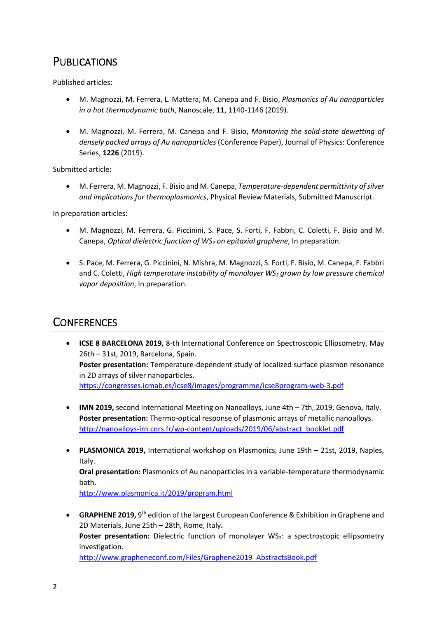# PUBLICATIONS

Published articles:

- M. Magnozzi, M. Ferrera, L. Mattera, M. Canepa and F. Bisio, *Plasmonics of Au nanoparticles in a hot thermodynamic bath*, Nanoscale, **11**, 1140-1146 (2019).
- M. Magnozzi, M. Ferrera, M. Canepa and F. Bisio, *Monitoring the solid-state dewetting of densely packed arrays of Au nanoparticles* (Conference Paper), Journal of Physics: Conference Series, **1226** (2019).

Submitted article:

• M. Ferrera, M. Magnozzi, F. Bisio and M. Canepa, *Temperature-dependent permittivity of silver and implications for thermoplasmonics*, Physical Review Materials, Submitted Manuscript.

In preparation articles:

- M. Magnozzi, M. Ferrera, G. Piccinini, S. Pace, S. Forti, F. Fabbri, C. Coletti, F. Bisio and M. Canepa, *Optical dielectric function of WS<sup>2</sup> on epitaxial graphene*, In preparation.
- S. Pace, M. Ferrera, G. Piccinini, N. Mishra, M. Magnozzi, S. Forti, F. Bisio, M. Canepa, F. Fabbri and C. Coletti, *High temperature instability of monolayer WS<sup>2</sup> grown by low pressure chemical vapor deposition*, In preparation.

### **CONFERENCES**

- **ICSE 8 BARCELONA 2019,** 8-th International Conference on Spectroscopic Ellipsometry, May 26th – 31st, 2019, Barcelona, Spain. **Poster presentation:** Temperature-dependent study of localized surface plasmon resonance in 2D arrays of silver nanoparticles. <https://congresses.icmab.es/icse8/images/programme/icse8program-web-3.pdf>
- **IMN 2019,** second International Meeting on Nanoalloys, June 4th 7th, 2019, Genova, Italy. **Poster presentation:** Thermo-optical response of plasmonic arrays of metallic nanoalloys. [http://nanoalloys-irn.cnrs.fr/wp-content/uploads/2019/06/abstract\\_booklet.pdf](http://nanoalloys-irn.cnrs.fr/wp-content/uploads/2019/06/abstract_booklet.pdf)
- **PLASMONICA 2019,** International workshop on Plasmonics, June 19th 21st, 2019, Naples, Italy. **Oral presentation:** Plasmonics of Au nanoparticles in a variable-temperature thermodynamic bath. <http://www.plasmonica.it/2019/program.html>
- GRAPHENE 2019, 9<sup>th</sup> edition of the largest European Conference & Exhibition in Graphene and 2D Materials, June 25th – 28th, Rome, Italy**.** Poster presentation: Dielectric function of monolayer WS<sub>2</sub>: a spectroscopic ellipsometry investigation. [http://www.grapheneconf.com/Files/Graphene2019\\_AbstractsBook.pdf](http://www.grapheneconf.com/Files/Graphene2019_AbstractsBook.pdf)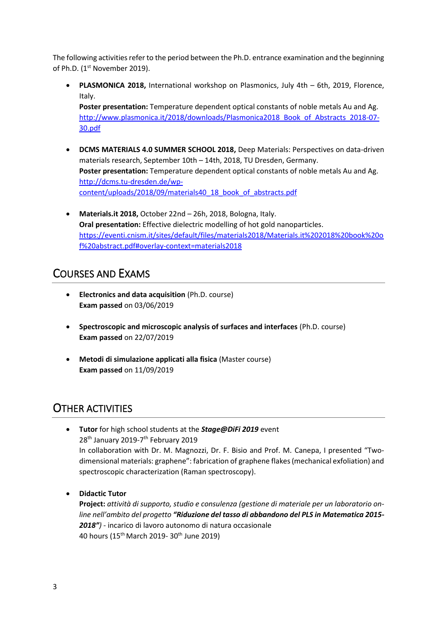The following activities refer to the period between the Ph.D. entrance examination and the beginning of Ph.D. (1<sup>st</sup> November 2019).

• **PLASMONICA 2018,** International workshop on Plasmonics, July 4th – 6th, 2019, Florence, Italy.

**Poster presentation:** Temperature dependent optical constants of noble metals Au and Ag. [http://www.plasmonica.it/2018/downloads/Plasmonica2018\\_Book\\_of\\_Abstracts\\_2018-07-](http://www.plasmonica.it/2018/downloads/Plasmonica2018_Book_of_Abstracts_2018-07-30.pdf) [30.pdf](http://www.plasmonica.it/2018/downloads/Plasmonica2018_Book_of_Abstracts_2018-07-30.pdf)

- **DCMS MATERIALS 4.0 SUMMER SCHOOL 2018,** Deep Materials: Perspectives on data-driven materials research, September 10th – 14th, 2018, TU Dresden, Germany. **Poster presentation:** Temperature dependent optical constants of noble metals Au and Ag. [http://dcms.tu-dresden.de/wp](http://dcms.tu-dresden.de/wp-content/uploads/2018/09/materials40_18_book_of_abstracts.pdf)[content/uploads/2018/09/materials40\\_18\\_book\\_of\\_abstracts.pdf](http://dcms.tu-dresden.de/wp-content/uploads/2018/09/materials40_18_book_of_abstracts.pdf)
- **Materials.it 2018,** October 22nd 26h, 2018, Bologna, Italy. **Oral presentation:** Effective dielectric modelling of hot gold nanoparticles. [https://eventi.cnism.it/sites/default/files/materials2018/Materials.it%202018%20book%20o](https://eventi.cnism.it/sites/default/files/materials2018/Materials.it%202018%20book%20of%20abstract.pdf#overlay-context=materials2018) [f%20abstract.pdf#overlay-context=materials2018](https://eventi.cnism.it/sites/default/files/materials2018/Materials.it%202018%20book%20of%20abstract.pdf#overlay-context=materials2018)

# COURSES AND EXAMS

- **Electronics and data acquisition** (Ph.D. course) **Exam passed** on 03/06/2019
- **Spectroscopic and microscopic analysis of surfaces and interfaces** (Ph.D. course) **Exam passed** on 22/07/2019
- **Metodi di simulazione applicati alla fisica** (Master course) **Exam passed** on 11/09/2019

## OTHER ACTIVITIES

- **Tutor** for high school students at the *Stage@DiFi 2019* event 28<sup>th</sup> January 2019-7<sup>th</sup> February 2019 In collaboration with Dr. M. Magnozzi, Dr. F. Bisio and Prof. M. Canepa, I presented "Twodimensional materials: graphene": fabrication of graphene flakes (mechanical exfoliation) and spectroscopic characterization (Raman spectroscopy).
- **Didactic Tutor**

**Project:** *attività di supporto, studio e consulenza (gestione di materiale per un laboratorio online nell'ambito del progetto "Riduzione del tasso di abbandono del PLS in Matematica 2015- 2018")* - incarico di lavoro autonomo di natura occasionale 40 hours (15th March 2019- 30th June 2019)